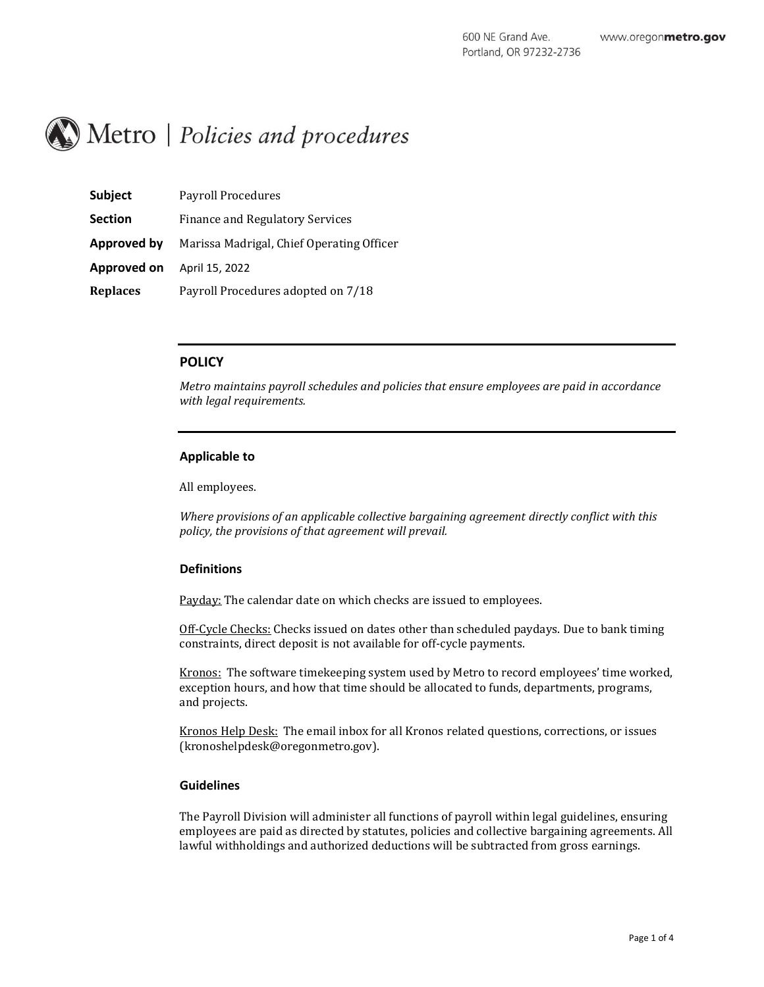# Metro | Policies and procedures

| <b>Subject</b>     | Payroll Procedures                        |
|--------------------|-------------------------------------------|
| <b>Section</b>     | <b>Finance and Regulatory Services</b>    |
| <b>Approved by</b> | Marissa Madrigal, Chief Operating Officer |
| Approved on        | April 15, 2022                            |
| <b>Replaces</b>    | Payroll Procedures adopted on 7/18        |

# **POLICY**

*Metro maintains payroll schedules and policies that ensure employees are paid in accordance with legal requirements.* 

## **Applicable to**

All employees.

*Where provisions of an applicable collective bargaining agreement directly conflict with this policy, the provisions of that agreement will prevail.*

#### **Definitions**

Payday: The calendar date on which checks are issued to employees.

Off-Cycle Checks: Checks issued on dates other than scheduled paydays. Due to bank timing constraints, direct deposit is not available for off-cycle payments.

Kronos: The software timekeeping system used by Metro to record employees' time worked, exception hours, and how that time should be allocated to funds, departments, programs, and projects.

Kronos Help Desk: The email inbox for all Kronos related questions, corrections, or issues (kronoshelpdesk@oregonmetro.gov).

## **Guidelines**

The Payroll Division will administer all functions of payroll within legal guidelines, ensuring employees are paid as directed by statutes, policies and collective bargaining agreements. All lawful withholdings and authorized deductions will be subtracted from gross earnings.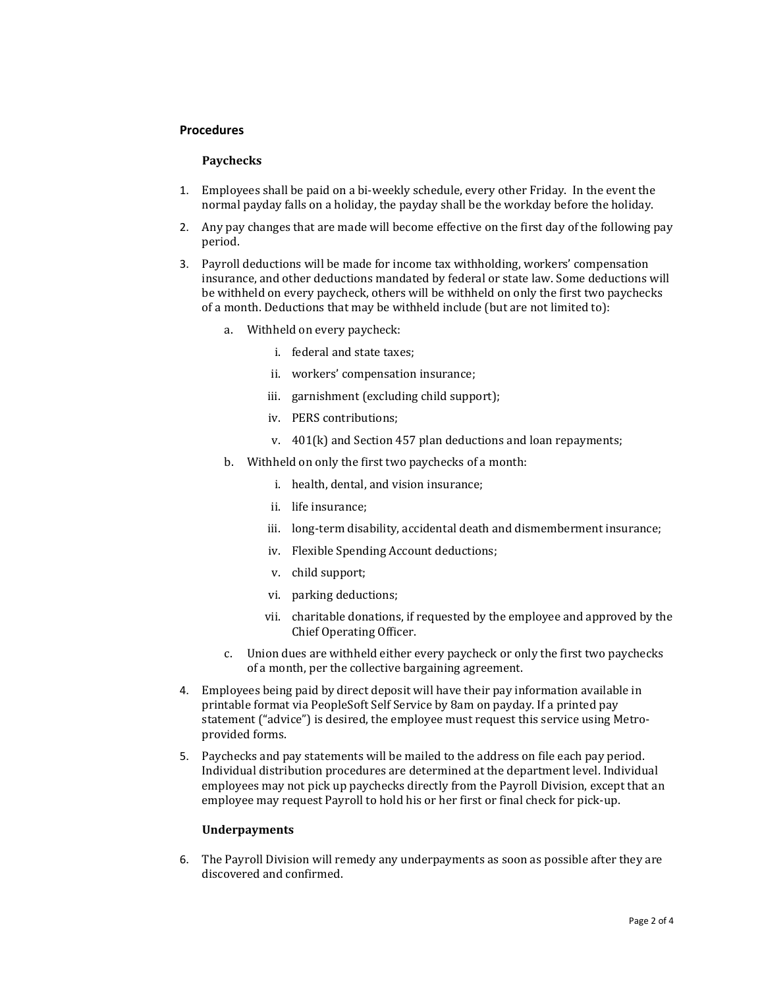#### **Procedures**

#### **Paychecks**

- 1. Employees shall be paid on a bi-weekly schedule, every other Friday. In the event the normal payday falls on a holiday, the payday shall be the workday before the holiday.
- 2. Any pay changes that are made will become effective on the first day of the following pay period.
- 3. Payroll deductions will be made for income tax withholding, workers' compensation insurance, and other deductions mandated by federal or state law. Some deductions will be withheld on every paycheck, others will be withheld on only the first two paychecks of a month. Deductions that may be withheld include (but are not limited to):
	- a. Withheld on every paycheck:
		- i. federal and state taxes;
		- ii. workers' compensation insurance;
		- iii. garnishment (excluding child support);
		- iv. PERS contributions;
		- v. 401(k) and Section 457 plan deductions and loan repayments;
	- b. Withheld on only the first two paychecks of a month:
		- i. health, dental, and vision insurance;
		- ii. life insurance;
		- iii. long-term disability, accidental death and dismemberment insurance;
		- iv. Flexible Spending Account deductions;
		- v. child support;
		- vi. parking deductions;
		- vii. charitable donations, if requested by the employee and approved by the Chief Operating Officer.
	- c. Union dues are withheld either every paycheck or only the first two paychecks of a month, per the collective bargaining agreement.
- 4. Employees being paid by direct deposit will have their pay information available in printable format via PeopleSoft Self Service by 8am on payday. If a printed pay statement ("advice") is desired, the employee must request this service using Metroprovided forms.
- 5. Paychecks and pay statements will be mailed to the address on file each pay period. Individual distribution procedures are determined at the department level. Individual employees may not pick up paychecks directly from the Payroll Division, except that an employee may request Payroll to hold his or her first or final check for pick-up.

## **Underpayments**

6. The Payroll Division will remedy any underpayments as soon as possible after they are discovered and confirmed.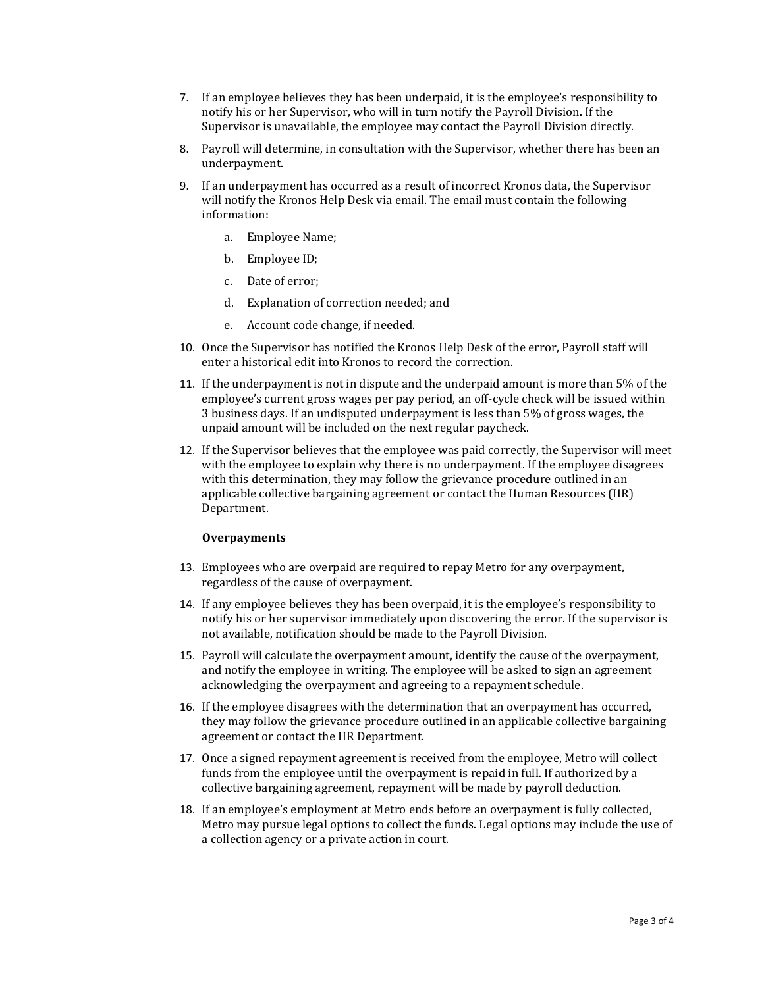- 7. If an employee believes they has been underpaid, it is the employee's responsibility to notify his or her Supervisor, who will in turn notify the Payroll Division. If the Supervisor is unavailable, the employee may contact the Payroll Division directly.
- 8. Payroll will determine, in consultation with the Supervisor, whether there has been an underpayment.
- 9. If an underpayment has occurred as a result of incorrect Kronos data, the Supervisor will notify the Kronos Help Desk via email. The email must contain the following information:
	- a. Employee Name;
	- b. Employee ID;
	- c. Date of error;
	- d. Explanation of correction needed; and
	- e. Account code change, if needed.
- 10. Once the Supervisor has notified the Kronos Help Desk of the error, Payroll staff will enter a historical edit into Kronos to record the correction.
- 11. If the underpayment is not in dispute and the underpaid amount is more than 5% of the employee's current gross wages per pay period, an off-cycle check will be issued within 3 business days. If an undisputed underpayment is less than 5% of gross wages, the unpaid amount will be included on the next regular paycheck.
- 12. If the Supervisor believes that the employee was paid correctly, the Supervisor will meet with the employee to explain why there is no underpayment. If the employee disagrees with this determination, they may follow the grievance procedure outlined in an applicable collective bargaining agreement or contact the Human Resources (HR) Department.

## **Overpayments**

- 13. Employees who are overpaid are required to repay Metro for any overpayment, regardless of the cause of overpayment.
- 14. If any employee believes they has been overpaid, it is the employee's responsibility to notify his or her supervisor immediately upon discovering the error. If the supervisor is not available, notification should be made to the Payroll Division.
- 15. Payroll will calculate the overpayment amount, identify the cause of the overpayment, and notify the employee in writing. The employee will be asked to sign an agreement acknowledging the overpayment and agreeing to a repayment schedule.
- 16. If the employee disagrees with the determination that an overpayment has occurred, they may follow the grievance procedure outlined in an applicable collective bargaining agreement or contact the HR Department.
- 17. Once a signed repayment agreement is received from the employee, Metro will collect funds from the employee until the overpayment is repaid in full. If authorized by a collective bargaining agreement, repayment will be made by payroll deduction.
- 18. If an employee's employment at Metro ends before an overpayment is fully collected, Metro may pursue legal options to collect the funds. Legal options may include the use of a collection agency or a private action in court.